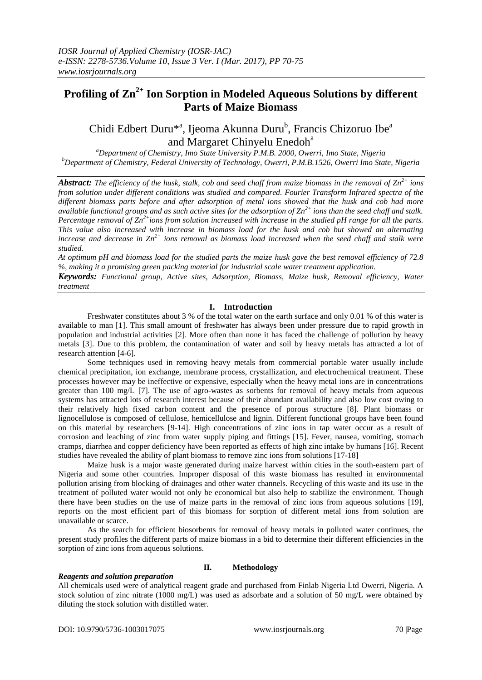# **Profiling of Zn2+ Ion Sorption in Modeled Aqueous Solutions by different Parts of Maize Biomass**

# Chidi Edbert Duru<sup>\*a</sup>, Ijeoma Akunna Duru<sup>b</sup>, Francis Chizoruo Ibe<sup>a</sup> and Margaret Chinyelu Enedoh<sup>a</sup>

*<sup>a</sup>Department of Chemistry, Imo State University P.M.B. 2000, Owerri, Imo State, Nigeria <sup>b</sup>Department of Chemistry, Federal University of Technology, Owerri, P.M.B.1526, Owerri Imo State, Nigeria*

*Abstract: The efficiency of the husk, stalk, cob and seed chaff from maize biomass in the removal of Zn2+ ions from solution under different conditions was studied and compared. Fourier Transform Infrared spectra of the different biomass parts before and after adsorption of metal ions showed that the husk and cob had more available functional groups and as such active sites for the adsorption of Zn2+ ions than the seed chaff and stalk. Percentage removal of Zn2+ions from solution increased with increase in the studied pH range for all the parts. This value also increased with increase in biomass load for the husk and cob but showed an alternating increase and decrease in Zn2+ ions removal as biomass load increased when the seed chaff and stalk were studied.* 

*At optimum pH and biomass load for the studied parts the maize husk gave the best removal efficiency of 72.8 %, making it a promising green packing material for industrial scale water treatment application.*

*Keywords: Functional group, Active sites, Adsorption, Biomass, Maize husk, Removal efficiency, Water treatment*

# **I. Introduction**

Freshwater constitutes about 3 % of the total water on the earth surface and only 0.01 % of this water is available to man [1]. This small amount of freshwater has always been under pressure due to rapid growth in population and industrial activities [2]. More often than none it has faced the challenge of pollution by heavy metals [3]. Due to this problem, the contamination of water and soil by heavy metals has attracted a lot of research attention [4-6].

Some techniques used in removing heavy metals from commercial portable water usually include chemical precipitation, ion exchange, membrane process, crystallization, and electrochemical treatment. These processes however may be ineffective or expensive, especially when the heavy metal ions are in concentrations greater than 100 mg/L [7]. The use of agro-wastes as sorbents for removal of heavy metals from aqueous systems has attracted lots of research interest because of their abundant availability and also low cost owing to their relatively high fixed carbon content and the presence of porous structure [8]. Plant biomass or lignocellulose is composed of cellulose, hemicellulose and lignin. Different functional groups have been found on this material by researchers [9-14]. High concentrations of zinc ions in tap water occur as a result of corrosion and leaching of zinc from water supply piping and fittings [15]. Fever, nausea, vomiting, stomach cramps, diarrhea and copper deficiency have been reported as effects of high zinc intake by humans [16]. Recent studies have revealed the ability of plant biomass to remove zinc ions from solutions [17-18]

Maize husk is a major waste generated during maize harvest within cities in the south-eastern part of Nigeria and some other countries. Improper disposal of this waste biomass has resulted in environmental pollution arising from blocking of drainages and other water channels. Recycling of this waste and its use in the treatment of polluted water would not only be economical but also help to stabilize the environment. Though there have been studies on the use of maize parts in the removal of zinc ions from aqueous solutions [19], reports on the most efficient part of this biomass for sorption of different metal ions from solution are unavailable or scarce.

As the search for efficient biosorbents for removal of heavy metals in polluted water continues, the present study profiles the different parts of maize biomass in a bid to determine their different efficiencies in the sorption of zinc ions from aqueous solutions.

# **II. Methodology**

## *Reagents and solution preparation*

All chemicals used were of analytical reagent grade and purchased from Finlab Nigeria Ltd Owerri, Nigeria. A stock solution of zinc nitrate (1000 mg/L) was used as adsorbate and a solution of 50 mg/L were obtained by diluting the stock solution with distilled water.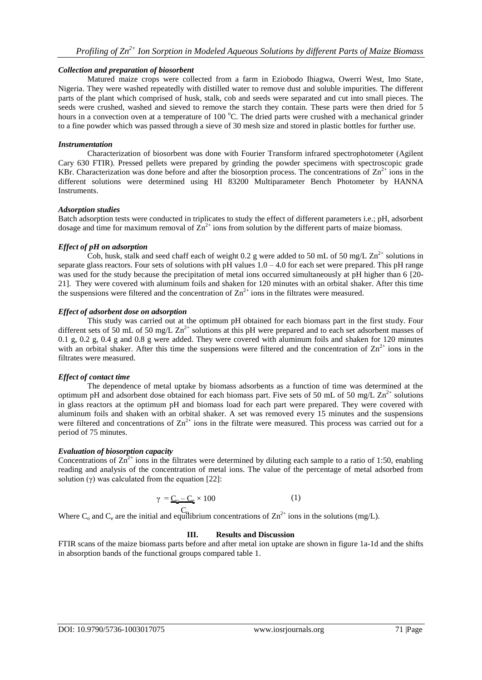# *Collection and preparation of biosorbent*

Matured maize crops were collected from a farm in Eziobodo Ihiagwa, Owerri West, Imo State, Nigeria. They were washed repeatedly with distilled water to remove dust and soluble impurities. The different parts of the plant which comprised of husk, stalk, cob and seeds were separated and cut into small pieces. The seeds were crushed, washed and sieved to remove the starch they contain. These parts were then dried for 5 hours in a convection oven at a temperature of 100  $^{\circ}$ C. The dried parts were crushed with a mechanical grinder to a fine powder which was passed through a sieve of 30 mesh size and stored in plastic bottles for further use.

# *Instrumentation*

Characterization of biosorbent was done with Fourier Transform infrared spectrophotometer (Agilent Cary 630 FTIR). Pressed pellets were prepared by grinding the powder specimens with spectroscopic grade KBr. Characterization was done before and after the biosorption process. The concentrations of  $\text{Zn}^{2+}$  ions in the different solutions were determined using HI 83200 Multiparameter Bench Photometer by HANNA Instruments.

## *Adsorption studies*

Batch adsorption tests were conducted in triplicates to study the effect of different parameters i.e.; pH, adsorbent dosage and time for maximum removal of  $\overline{\Sigma}n^{2+}$  ions from solution by the different parts of maize biomass.

# *Effect of pH on adsorption*

Cob, husk, stalk and seed chaff each of weight 0.2 g were added to 50 mL of 50 mg/L  $\text{Zn}^{2+}$  solutions in separate glass reactors. Four sets of solutions with  $pH$  values  $1.0 - 4.0$  for each set were prepared. This  $pH$  range was used for the study because the precipitation of metal ions occurred simultaneously at pH higher than 6 [20-21]. They were covered with aluminum foils and shaken for 120 minutes with an orbital shaker. After this time the suspensions were filtered and the concentration of  $Zn^{2+}$  ions in the filtrates were measured.

## *Effect of adsorbent dose on adsorption*

This study was carried out at the optimum pH obtained for each biomass part in the first study. Four different sets of 50 mL of 50 mg/L  $\text{Zn}^{2+}$  solutions at this pH were prepared and to each set adsorbent masses of 0.1 g, 0.2 g, 0.4 g and 0.8 g were added. They were covered with aluminum foils and shaken for 120 minutes with an orbital shaker. After this time the suspensions were filtered and the concentration of  $\text{Zn}^{2+}$  ions in the filtrates were measured.

# *Effect of contact time*

The dependence of metal uptake by biomass adsorbents as a function of time was determined at the optimum pH and adsorbent dose obtained for each biomass part. Five sets of 50 mL of 50 mg/L  $\text{Zn}^{2+}$  solutions in glass reactors at the optimum pH and biomass load for each part were prepared. They were covered with aluminum foils and shaken with an orbital shaker. A set was removed every 15 minutes and the suspensions were filtered and concentrations of  $\text{Zn}^{2+}$  ions in the filtrate were measured. This process was carried out for a period of 75 minutes.

## *Evaluation of biosorption capacity*

Concentrations of  $\text{Zn}^{2+}$  ions in the filtrates were determined by diluting each sample to a ratio of 1:50, enabling reading and analysis of the concentration of metal ions. The value of the percentage of metal adsorbed from solution  $(γ)$  was calculated from the equation [22]:

$$
\gamma = \underline{C_0 - C_2} \times 100 \tag{1}
$$

Where C<sub>o</sub> and C<sub>e</sub> are the initial and equilibrium concentrations of  $\text{Zn}^{2+}$  ions in the solutions (mg/L).

# **III. Results and Discussion**

FTIR scans of the maize biomass parts before and after metal ion uptake are shown in figure 1a-1d and the shifts in absorption bands of the functional groups compared table 1.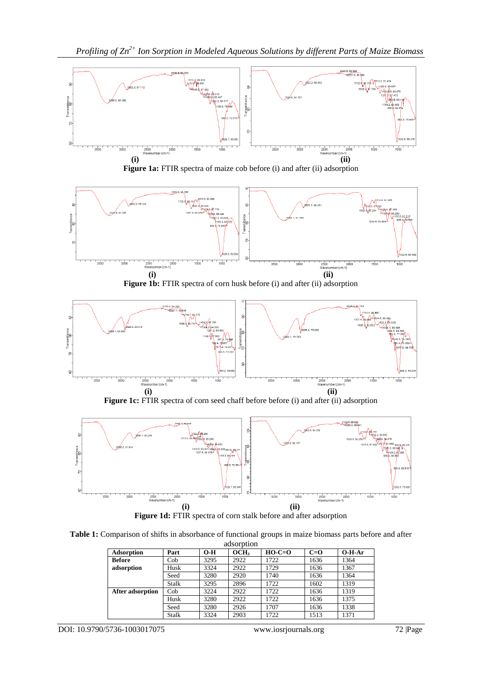

Figure 1a: FTIR spectra of maize cob before (i) and after (ii) adsorption







Figure 1c: FTIR spectra of corn seed chaff before before (i) and after (ii) adsorption



Figure 1d: FTIR spectra of corn stalk before and after adsorption

**Table 1:** Comparison of shifts in absorbance of functional groups in maize biomass parts before and after adsorption

| ausolduoil              |       |       |                  |          |       |          |
|-------------------------|-------|-------|------------------|----------|-------|----------|
| Adsorption              | Part  | $O-H$ | OCH <sub>3</sub> | $HO-C=O$ | $C=0$ | $O-H-Ar$ |
| <b>Before</b>           | Cob   | 3295  | 2922             | 1722     | 1636  | 1364     |
| adsorption              | Husk  | 3324  | 2922             | 1729     | 1636  | 1367     |
|                         | Seed  | 3280  | 2920             | 1740     | 1636  | 1364     |
|                         | Stalk | 3295  | 2896             | 1722     | 1602  | 1319     |
| <b>After adsorption</b> | Cob   | 3224  | 2922             | 1722     | 1636  | 1319     |
|                         | Husk  | 3280  | 2922             | 1722     | 1636  | 1375     |
|                         | Seed  | 3280  | 2926             | 1707     | 1636  | 1338     |
|                         | Stalk | 3324  | 2903             | 1722     | 1513  | 1371     |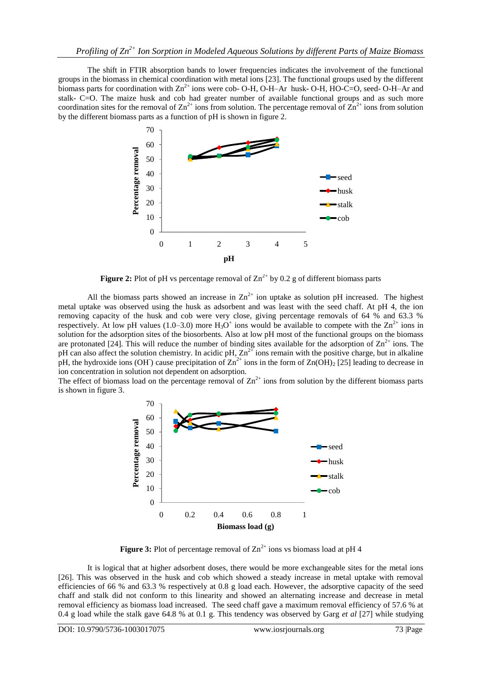The shift in FTIR absorption bands to lower frequencies indicates the involvement of the functional groups in the biomass in chemical coordination with metal ions [23]. The functional groups used by the different biomass parts for coordination with  $\text{Zn}^{2+}$  ions were cob- O-H, O-H–Ar husk- O-H, HO-C=O, seed- O-H–Ar and stalk- C=O. The maize husk and cob had greater number of available functional groups and as such more coordination sites for the removal of  $\text{Zn}^{2+}$  ions from solution. The percentage removal of  $\text{Zn}^{2+}$  ions from solution by the different biomass parts as a function of pH is shown in figure 2.



**Figure 2:** Plot of pH vs percentage removal of  $\text{Zn}^{2+}$  by 0.2 g of different biomass parts

All the biomass parts showed an increase in  $\text{Zn}^{2+}$  ion uptake as solution pH increased. The highest metal uptake was observed using the husk as adsorbent and was least with the seed chaff. At pH 4, the ion removing capacity of the husk and cob were very close, giving percentage removals of 64 % and 63.3 % respectively. At low pH values (1.0–3.0) more  $H_3O^+$  ions would be available to compete with the  $Zn^{2+}$  ions in solution for the adsorption sites of the biosorbents. Also at low pH most of the functional groups on the biomass are protonated [24]. This will reduce the number of binding sites available for the adsorption of  $\text{Zn}^{2+}$  ions. The pH can also affect the solution chemistry. In acidic pH,  $Zn^{2+}$  ions remain with the positive charge, but in alkaline pH, the hydroxide ions (OH) cause precipitation of  $Zn^{2+}$  ions in the form of  $Zn(OH)_2$  [25] leading to decrease in ion concentration in solution not dependent on adsorption.

The effect of biomass load on the percentage removal of  $Zn^{2+}$  ions from solution by the different biomass parts is shown in figure 3.



**Figure 3:** Plot of percentage removal of  $\text{Zn}^{2+}$  ions vs biomass load at pH 4

It is logical that at higher adsorbent doses, there would be more exchangeable sites for the metal ions [26]. This was observed in the husk and cob which showed a steady increase in metal uptake with removal efficiencies of 66 % and 63.3 % respectively at 0.8 g load each. However, the adsorptive capacity of the seed chaff and stalk did not conform to this linearity and showed an alternating increase and decrease in metal removal efficiency as biomass load increased. The seed chaff gave a maximum removal efficiency of 57.6 % at 0.4 g load while the stalk gave 64.8 % at 0.1 g. This tendency was observed by Garg *et al* [27] while studying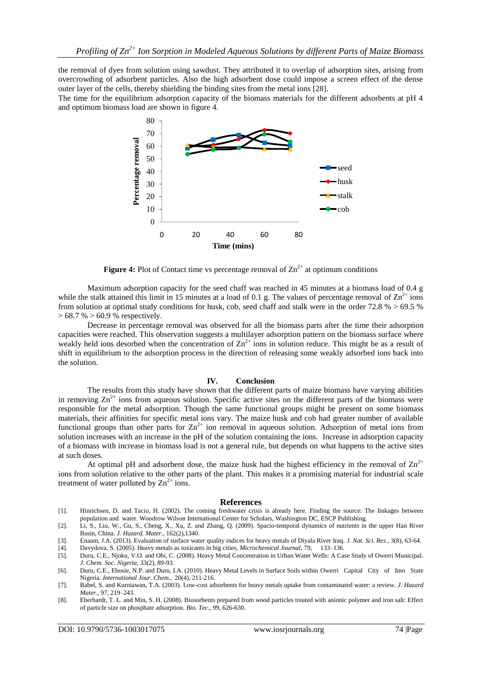the removal of dyes from solution using sawdust. They attributed it to overlap of adsorption sites, arising from overcrowding of adsorbent particles. Also the high adsorbent dose could impose a screen effect of the dense outer layer of the cells, thereby shielding the binding sites from the metal ions [28].

The time for the equilibrium adsorption capacity of the biomass materials for the different adsorbents at pH 4 and optimum biomass load are shown in figure 4.



**Figure 4:** Plot of Contact time vs percentage removal of  $\text{Zn}^{2+}$  at optimum conditions

Maximum adsorption capacity for the seed chaff was reached in 45 minutes at a biomass load of 0.4 g while the stalk attained this limit in 15 minutes at a load of 0.1 g. The values of percentage removal of  $\text{Zn}^{2+}$  ions from solution at optimal study conditions for husk, cob, seed chaff and stalk were in the order 72.8 % > 69.5 %  $> 68.7 \% > 60.9$  % respectively.

Decrease in percentage removal was observed for all the biomass parts after the time their adsorption capacities were reached. This observation suggests a multilayer adsorption pattern on the biomass surface where weakly held ions desorbed when the concentration of  $\text{Zn}^{2+}$  ions in solution reduce. This might be as a result of shift in equilibrium to the adsorption process in the direction of releasing some weakly adsorbed ions back into the solution.

#### **IV. Conclusion**

The results from this study have shown that the different parts of maize biomass have varying abilities in removing  $\text{Zn}^{2+}$  ions from aqueous solution. Specific active sites on the different parts of the biomass were responsible for the metal adsorption. Though the same functional groups might be present on some biomass materials, their affinities for specific metal ions vary. The maize husk and cob had greater number of available functional groups than other parts for  $\text{Zn}^{2+}$  ion removal in aqueous solution. Adsorption of metal ions from solution increases with an increase in the pH of the solution containing the ions. Increase in adsorption capacity of a biomass with increase in biomass load is not a general rule, but depends on what happens to the active sites at such doses.

At optimal pH and adsorbent dose, the maize husk had the highest efficiency in the removal of  $\text{Zn}^{2+}$ ions from solution relative to the other parts of the plant. This makes it a promising material for industrial scale treatment of water polluted by  $\text{Zn}^{2+}$  ions.

#### **References**

- [1]. Hinrichsen, D. and Tacio, H. (2002). The coming freshwater crisis is already here. Finding the source: The linkages between population and water. Woodrow Wilson International Center for Scholars, Washington DC, ESCP Publishing.
- [2]. Li, S., Liu, W., Gu, S., Cheng, X., Xu, Z. and Zhang, Q. (2009). Spacio-temporal dynamics of nutrients in the upper Han River Basin, China. *J. Hazard. Mater.*, 162(2),1340.
- [3]. Enaam, J.A. (2013). Evaluation of surface water quality indices for heavy metals of Diyala River Iraq. *J. Nat. Sci. Res.,* 3(8), 63-64.
- [4]. Davydova, S. (2005). Heavy metals as toxicants in big cities, *Microchemical Journal*, 79, 133–136. [5]. Duru, C.E., Njoku, V.O. and Obi, C. (2008). Heavy Metal Concentration in Urban Water Wells: A Case Study of Owerri Municipal. *J. Chem. Soc. Nigeria,* 33(2), 89-93.
- [6]. Duru, C.E., Ebosie, N.P. and Duru, I.A. (2010). Heavy Metal Levels in Surface Soils within Owerri Capital City of Imo State Nigeria. *International Jour. Chem.*, 20(4), 211-216.
- [7]. Babel, S. and Kurniawan, T.A. (2003). Low-cost adsorbents for heavy metals uptake from contaminated water: a review. *J. Hazard Mater.*, 97, 219–243.
- [8]. Eberhardt, T. L. and Min, S. H. (2008). Biosorbents prepared from wood particles treated with anionic polymer and iron salt: Effect of particle size on phosphate adsorption. *Bio. Tec.*, 99, 626-630.